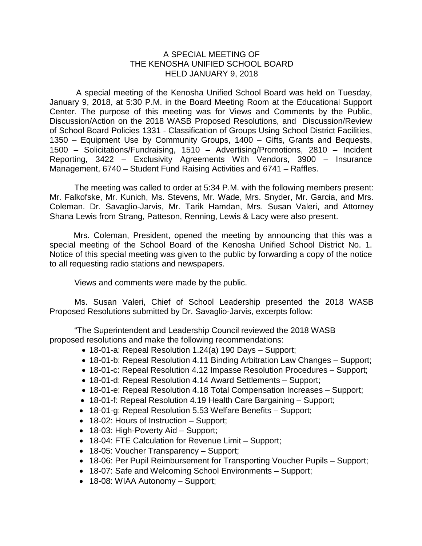## A SPECIAL MEETING OF THE KENOSHA UNIFIED SCHOOL BOARD HELD JANUARY 9, 2018

A special meeting of the Kenosha Unified School Board was held on Tuesday, January 9, 2018, at 5:30 P.M. in the Board Meeting Room at the Educational Support Center. The purpose of this meeting was for Views and Comments by the Public, Discussion/Action on the 2018 WASB Proposed Resolutions, and Discussion/Review of School Board Policies 1331 - Classification of Groups Using School District Facilities, 1350 – Equipment Use by Community Groups, 1400 – Gifts, Grants and Bequests, 1500 – Solicitations/Fundraising, 1510 – Advertising/Promotions, 2810 – Incident Reporting, 3422 – Exclusivity Agreements With Vendors, 3900 – Insurance Management, 6740 – Student Fund Raising Activities and 6741 – Raffles.

The meeting was called to order at 5:34 P.M. with the following members present: Mr. Falkofske, Mr. Kunich, Ms. Stevens, Mr. Wade, Mrs. Snyder, Mr. Garcia, and Mrs. Coleman. Dr. Savaglio-Jarvis, Mr. Tarik Hamdan, Mrs. Susan Valeri, and Attorney Shana Lewis from Strang, Patteson, Renning, Lewis & Lacy were also present.

Mrs. Coleman, President, opened the meeting by announcing that this was a special meeting of the School Board of the Kenosha Unified School District No. 1. Notice of this special meeting was given to the public by forwarding a copy of the notice to all requesting radio stations and newspapers.

Views and comments were made by the public.

Ms. Susan Valeri, Chief of School Leadership presented the 2018 WASB Proposed Resolutions submitted by Dr. Savaglio-Jarvis, excerpts follow:

"The Superintendent and Leadership Council reviewed the 2018 WASB proposed resolutions and make the following recommendations:

- 18-01-a: Repeal Resolution 1.24(a) 190 Days Support;
- 18-01-b: Repeal Resolution 4.11 Binding Arbitration Law Changes Support;
- 18-01-c: Repeal Resolution 4.12 Impasse Resolution Procedures Support;
- 18-01-d: Repeal Resolution 4.14 Award Settlements Support:
- 18-01-e: Repeal Resolution 4.18 Total Compensation Increases Support;
- 18-01-f: Repeal Resolution 4.19 Health Care Bargaining Support;
- 18-01-g: Repeal Resolution 5.53 Welfare Benefits Support;
- 18-02: Hours of Instruction Support;
- 18-03: High-Poverty Aid Support;
- 18-04: FTE Calculation for Revenue Limit Support;
- 18-05: Voucher Transparency Support;
- 18-06: Per Pupil Reimbursement for Transporting Voucher Pupils Support;
- 18-07: Safe and Welcoming School Environments Support;
- 18-08: WIAA Autonomy Support;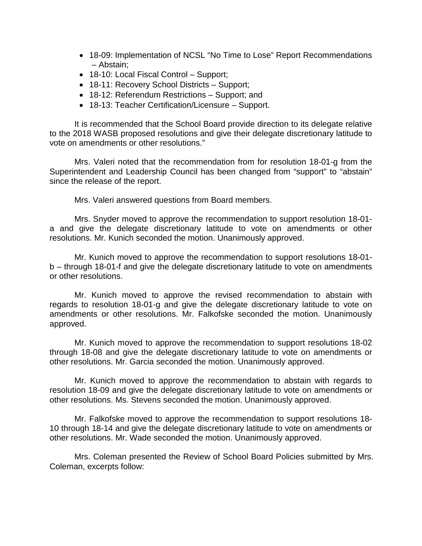- 18-09: Implementation of NCSL "No Time to Lose" Report Recommendations – Abstain;
- 18-10: Local Fiscal Control Support;
- 18-11: Recovery School Districts Support;
- 18-12: Referendum Restrictions Support; and
- 18-13: Teacher Certification/Licensure Support.

It is recommended that the School Board provide direction to its delegate relative to the 2018 WASB proposed resolutions and give their delegate discretionary latitude to vote on amendments or other resolutions."

Mrs. Valeri noted that the recommendation from for resolution 18-01-g from the Superintendent and Leadership Council has been changed from "support" to "abstain" since the release of the report.

Mrs. Valeri answered questions from Board members.

Mrs. Snyder moved to approve the recommendation to support resolution 18-01 a and give the delegate discretionary latitude to vote on amendments or other resolutions. Mr. Kunich seconded the motion. Unanimously approved.

Mr. Kunich moved to approve the recommendation to support resolutions 18-01 b – through 18-01-f and give the delegate discretionary latitude to vote on amendments or other resolutions.

Mr. Kunich moved to approve the revised recommendation to abstain with regards to resolution 18-01-g and give the delegate discretionary latitude to vote on amendments or other resolutions. Mr. Falkofske seconded the motion. Unanimously approved.

Mr. Kunich moved to approve the recommendation to support resolutions 18-02 through 18-08 and give the delegate discretionary latitude to vote on amendments or other resolutions. Mr. Garcia seconded the motion. Unanimously approved.

Mr. Kunich moved to approve the recommendation to abstain with regards to resolution 18-09 and give the delegate discretionary latitude to vote on amendments or other resolutions. Ms. Stevens seconded the motion. Unanimously approved.

Mr. Falkofske moved to approve the recommendation to support resolutions 18- 10 through 18-14 and give the delegate discretionary latitude to vote on amendments or other resolutions. Mr. Wade seconded the motion. Unanimously approved.

Mrs. Coleman presented the Review of School Board Policies submitted by Mrs. Coleman, excerpts follow: